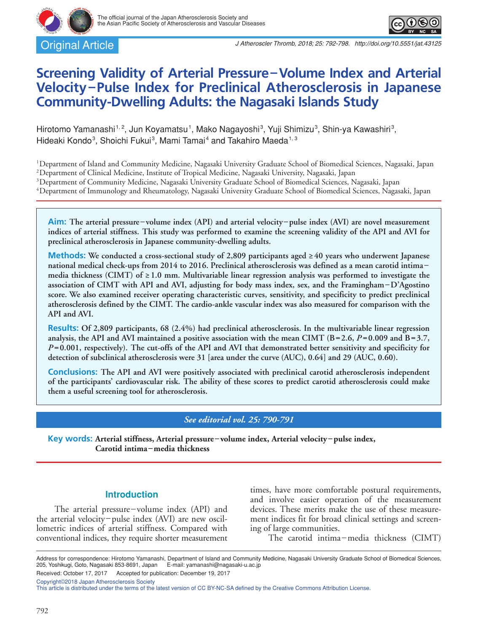Original Article



# **Screening Validity of Arterial Pressure–Volume Index and Arterial Velocity–Pulse Index for Preclinical Atherosclerosis in Japanese Community-Dwelling Adults: the Nagasaki Islands Study**

Hirotomo Yamanashi<sup>1,2</sup>, Jun Koyamatsu<sup>1</sup>, Mako Nagayoshi<sup>3</sup>, Yuji Shimizu<sup>3</sup>, Shin-ya Kawashiri<sup>3</sup>, Hideaki Kondo<sup>3</sup>, Shoichi Fukui<sup>3</sup>, Mami Tamai<sup>4</sup> and Takahiro Maeda<sup>1,3</sup>

1Department of Island and Community Medicine, Nagasaki University Graduate School of Biomedical Sciences, Nagasaki, Japan

2Department of Clinical Medicine, Institute of Tropical Medicine, Nagasaki University, Nagasaki, Japan

<sup>3</sup>Department of Community Medicine, Nagasaki University Graduate School of Biomedical Sciences, Nagasaki, Japan

4Department of Immunology and Rheumatology, Nagasaki University Graduate School of Biomedical Sciences, Nagasaki, Japan

**Aim: The arterial pressure –volume index (API) and arterial velocity –pulse index (AVI) are novel measurement indices of arterial stiffness. This study was performed to examine the screening validity of the API and AVI for preclinical atherosclerosis in Japanese community-dwelling adults.**

**Methods: We conducted a cross-sectional study of 2,809 participants aged ≥40 years who underwent Japanese national medical check-ups from 2014 to 2016. Preclinical atherosclerosis was defined as a mean carotid intima – media thickness (CIMT) of ≥1.0 mm. Multivariable linear regression analysis was performed to investigate the association of CIMT with API and AVI, adjusting for body mass index, sex, and the Framingham–D'Agostino score. We also examined receiver operating characteristic curves, sensitivity, and specificity to predict preclinical atherosclerosis defined by the CIMT. The cardio-ankle vascular index was also measured for comparison with the API and AVI.**

**Results: Of 2,809 participants, 68 (2.4%) had preclinical atherosclerosis. In the multivariable linear regression analysis, the API and AVI maintained a positive association with the mean CIMT (B=2.6,** *P* **=0.009 and B=3.7,**  *P* **=0.001, respectively). The cut-offs of the API and AVI that demonstrated better sensitivity and specificity for detection of subclinical atherosclerosis were 31 [area under the curve (AUC), 0.64] and 29 (AUC, 0.60).**

**Conclusions: The API and AVI were positively associated with preclinical carotid atherosclerosis independent of the participants' cardiovascular risk. The ability of these scores to predict carotid atherosclerosis could make them a useful screening tool for atherosclerosis.**

# *See editorial vol. 25: 790-791*

**Key words: Arterial stiffness, Arterial pressure– volume index, Arterial velocity–pulse index, Carotid intima–media thickness**

## **Introduction**

The arterial pressure-volume index (API) and the arterial velocity–pulse index (AVI) are new oscillometric indices of arterial stiffness. Compared with conventional indices, they require shorter measurement

times, have more comfortable postural requirements, and involve easier operation of the measurement devices. These merits make the use of these measurement indices fit for broad clinical settings and screening of large communities.

The carotid intima-media thickness (CIMT)

Address for correspondence: Hirotomo Yamanashi, Department of Island and Community Medicine, Nagasaki University Graduate School of Biomedical Sciences,<br>205, Yoshikugi, Goto, Nagasaki 853-8691, Japan E-mail: yamanashi@naga 205, Yoshikugi, Goto, Nagasaki 853-8691, Japan

Received: October 17, 2017 Accepted for publication: December 19, 2017

Copyright©2018 Japan Atherosclerosis Society

This article is distributed under the terms of the latest version of CC BY-NC-SA defined by the Creative Commons Attribution License.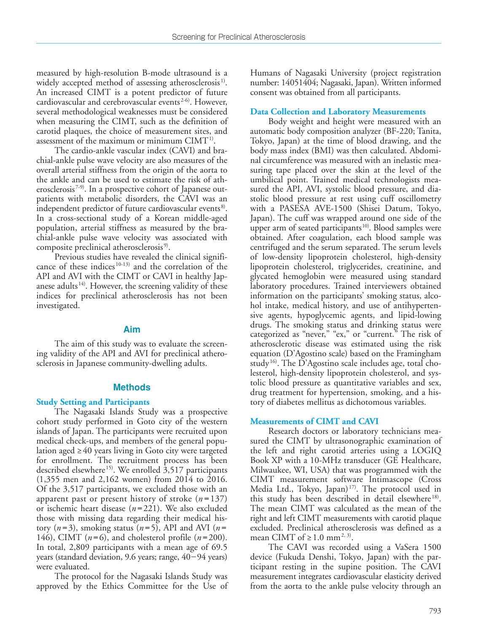measured by high-resolution B-mode ultrasound is a widely accepted method of assessing atherosclerosis<sup>1)</sup>. An increased CIMT is a potent predictor of future cardiovascular and cerebrovascular events<sup>2-6)</sup>. However, several methodological weaknesses must be considered when measuring the CIMT, such as the definition of carotid plaques, the choice of measurement sites, and assessment of the maximum or minimum  $CIMT<sup>1</sup>$ .

The cardio-ankle vascular index (CAVI) and brachial-ankle pulse wave velocity are also measures of the overall arterial stiffness from the origin of the aorta to the ankle and can be used to estimate the risk of atherosclerosis<sup> $7-9$ </sup>. In a prospective cohort of Japanese outpatients with metabolic disorders, the CAVI was an independent predictor of future cardiovascular events<sup>8)</sup>. In a cross-sectional study of a Korean middle-aged population, arterial stiffness as measured by the brachial-ankle pulse wave velocity was associated with composite preclinical atherosclerosis<sup>9)</sup>.

Previous studies have revealed the clinical significance of these indices 10-13) and the correlation of the API and AVI with the CIMT or CAVI in healthy Japanese adults<sup>14)</sup>. However, the screening validity of these indices for preclinical atherosclerosis has not been investigated.

## **Aim**

The aim of this study was to evaluate the screening validity of the API and AVI for preclinical atherosclerosis in Japanese community-dwelling adults.

## **Methods**

## **Study Setting and Participants**

The Nagasaki Islands Study was a prospective cohort study performed in Goto city of the western islands of Japan. The participants were recruited upon medical check-ups, and members of the general population aged ≥40 years living in Goto city were targeted for enrollment. The recruitment process has been described elsewhere<sup>15)</sup>. We enrolled  $\overline{3,517}$  participants (1,355 men and 2,162 women) from 2014 to 2016. Of the 3,517 participants, we excluded those with an apparent past or present history of stroke  $(n=137)$ or ischemic heart disease (*n* =221). We also excluded those with missing data regarding their medical history  $(n=3)$ , smoking status  $(n=5)$ , API and AVI  $(n=$ 146), CIMT  $(n=6)$ , and cholesterol profile  $(n=200)$ . In total, 2,809 participants with a mean age of 69.5 years (standard deviation, 9.6 years; range, 40–94 years) were evaluated.

The protocol for the Nagasaki Islands Study was approved by the Ethics Committee for the Use of Humans of Nagasaki University (project registration number: 14051404; Nagasaki, Japan). Written informed consent was obtained from all participants.

## **Data Collection and Laboratory Measurements**

Body weight and height were measured with an automatic body composition analyzer (BF-220; Tanita, Tokyo, Japan) at the time of blood drawing, and the body mass index (BMI) was then calculated. Abdominal circumference was measured with an inelastic measuring tape placed over the skin at the level of the umbilical point. Trained medical technologists measured the API, AVI, systolic blood pressure, and diastolic blood pressure at rest using cuff oscillometry with a PASESA AVE-1500 (Shisei Datum, Tokyo, Japan). The cuff was wrapped around one side of the upper arm of seated participants<sup>10</sup>. Blood samples were obtained. After coagulation, each blood sample was centrifuged and the serum separated. The serum levels of low-density lipoprotein cholesterol, high-density lipoprotein cholesterol, triglycerides, creatinine, and glycated hemoglobin were measured using standard laboratory procedures. Trained interviewers obtained information on the participants' smoking status, alcohol intake, medical history, and use of antihypertensive agents, hypoglycemic agents, and lipid-lowing drugs. The smoking status and drinking status were categorized as "never," "ex," or "current." The risk of atherosclerotic disease was estimated using the risk equation (D'Agostino scale) based on the Framingham study<sup>16)</sup>. The D'Agostino scale includes age, total cholesterol, high-density lipoprotein cholesterol, and systolic blood pressure as quantitative variables and sex, drug treatment for hypertension, smoking, and a history of diabetes mellitus as dichotomous variables.

## **Measurements of CIMT and CAVI**

Research doctors or laboratory technicians measured the CIMT by ultrasonographic examination of the left and right carotid arteries using a LOGIQ Book XP with a 10-MHz transducer (GE Healthcare, Milwaukee, WI, USA) that was programmed with the CIMT measurement software Intimascope (Cross Media Ltd., Tokyo, Japan)<sup>17</sup>. The protocol used in this study has been described in detail elsewhere<sup>18)</sup>. The mean CIMT was calculated as the mean of the right and left CIMT measurements with carotid plaque excluded. Preclinical atherosclerosis was defined as a mean CIMT of  $\geq 1.0$  mm<sup>2, 3)</sup>.

The CAVI was recorded using a VaSera 1500 device (Fukuda Denshi, Tokyo, Japan) with the participant resting in the supine position. The CAVI measurement integrates cardiovascular elasticity derived from the aorta to the ankle pulse velocity through an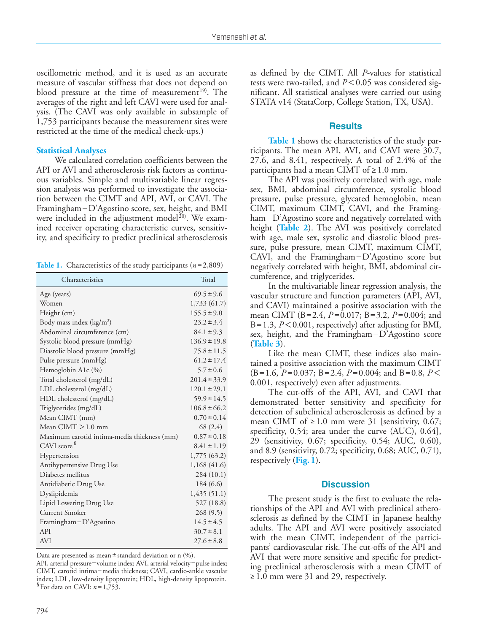oscillometric method, and it is used as an accurate measure of vascular stiffness that does not depend on blood pressure at the time of measurement<sup>19)</sup>. The averages of the right and left CAVI were used for analysis. (The CAVI was only available in subsample of 1,753 participants because the measurement sites were restricted at the time of the medical check-ups.)

#### **Statistical Analyses**

We calculated correlation coefficients between the API or AVI and atherosclerosis risk factors as continuous variables. Simple and multivariable linear regression analysis was performed to investigate the association between the CIMT and API, AVI, or CAVI. The Framingham–D'Agostino score, sex, height, and BMI were included in the adjustment model<sup>20)</sup>. We examined receiver operating characteristic curves, sensitivity, and specificity to predict preclinical atherosclerosis

**Table 1.** Characteristics of the study participants (*n*=2,809)

| Characteristics                             | Total            |
|---------------------------------------------|------------------|
| Age (years)                                 | $69.5 \pm 9.6$   |
| Women                                       | 1,733 (61.7)     |
| Height (cm)                                 | $155.5 \pm 9.0$  |
| Body mass index $(kg/m2)$                   | $23.2 \pm 3.4$   |
| Abdominal circumference (cm)                | $84.1 \pm 9.3$   |
| Systolic blood pressure (mmHg)              | $136.9 \pm 19.8$ |
| Diastolic blood pressure (mmHg)             | $75.8 \pm 11.5$  |
| Pulse pressure (mmHg)                       | $61.2 \pm 17.4$  |
| Hemoglobin A1c (%)                          | $5.7 \pm 0.6$    |
| Total cholesterol (mg/dL)                   | $201.4 \pm 33.9$ |
| LDL cholesterol (mg/dL)                     | $120.1 \pm 29.1$ |
| HDL cholesterol (mg/dL)                     | $59.9 \pm 14.5$  |
| Triglycerides (mg/dL)                       | $106.8 \pm 66.2$ |
| Mean CIMT (mm)                              | $0.70 \pm 0.14$  |
| Mean $CIMT > 1.0$ mm                        | 68 (2.4)         |
| Maximum carotid intima-media thickness (mm) | $0.87 \pm 0.18$  |
| CAVI score <sup>§</sup>                     | $8.41 \pm 1.19$  |
| Hypertension                                | 1,775 (63.2)     |
| Antihypertensive Drug Use                   | 1,168 (41.6)     |
| Diabetes mellitus                           | 284 (10.1)       |
| Antidiabetic Drug Use                       | 184 (6.6)        |
| Dyslipidemia                                | 1,435(51.1)      |
| Lipid Lowering Drug Use                     | 527 (18.8)       |
| <b>Current Smoker</b>                       | 268(9.5)         |
| Framingham-D'Agostino                       | $14.5 \pm 4.5$   |
| API                                         | $30.7 \pm 8.1$   |
| <b>AVI</b>                                  | $27.6 \pm 8.8$   |

Data are presented as mean  $\pm$  standard deviation or n (%).

API, arterial pressure–volume index; AVI, arterial velocity–pulse index; CIMT, carotid intima–media thickness; CAVI, cardio-ankle vascular index; LDL, low-density lipoprotein; HDL, high-density lipoprotein. §For data on CAVI: *n* =1,753.

as defined by the CIMT. All *P*-values for statistical tests were two-tailed, and *P*<0.05 was considered significant. All statistical analyses were carried out using STATA v14 (StataCorp, College Station, TX, USA).

#### **Results**

**Table 1** shows the characteristics of the study participants. The mean API, AVI, and CAVI were 30.7, 27.6, and 8.41, respectively. A total of 2.4% of the participants had a mean CIMT of  $\geq 1.0$  mm.

The API was positively correlated with age, male sex, BMI, abdominal circumference, systolic blood pressure, pulse pressure, glycated hemoglobin, mean CIMT, maximum CIMT, CAVI, and the Framingham–D'Agostino score and negatively correlated with height (**Table 2**). The AVI was positively correlated with age, male sex, systolic and diastolic blood pressure, pulse pressure, mean CIMT, maximum CIMT, CAVI, and the Framingham–D'Agostino score but negatively correlated with height, BMI, abdominal circumference, and triglycerides.

In the multivariable linear regression analysis, the vascular structure and function parameters (API, AVI, and CAVI) maintained a positive association with the mean CIMT (B=2.4, *P* =0.017; B=3.2, *P* =0.004; and B=1.3, *P*<0.001, respectively) after adjusting for BMI, sex, height, and the Framingham–D'Agostino score (**Table 3**).

Like the mean CIMT, these indices also maintained a positive association with the maximum CIMT  $(B=1.6, P=0.037; B=2.4, P=0.004;$  and  $B=0.8, P<$ 0.001, respectively) even after adjustments.

The cut-offs of the API, AVI, and CAVI that demonstrated better sensitivity and specificity for detection of subclinical atherosclerosis as defined by a mean CIMT of  $\geq 1.0$  mm were 31 [sensitivity, 0.67; specificity, 0.54; area under the curve (AUC), 0.64], 29 (sensitivity, 0.67; specificity, 0.54; AUC, 0.60), and 8.9 (sensitivity, 0.72; specificity, 0.68; AUC, 0.71), respectively (**Fig.1**).

#### **Discussion**

The present study is the first to evaluate the relationships of the API and AVI with preclinical atherosclerosis as defined by the CIMT in Japanese healthy adults. The API and AVI were positively associated with the mean CIMT, independent of the participants' cardiovascular risk. The cut-offs of the API and AVI that were more sensitive and specific for predicting preclinical atherosclerosis with a mean CIMT of ≥1.0 mm were 31 and 29, respectively.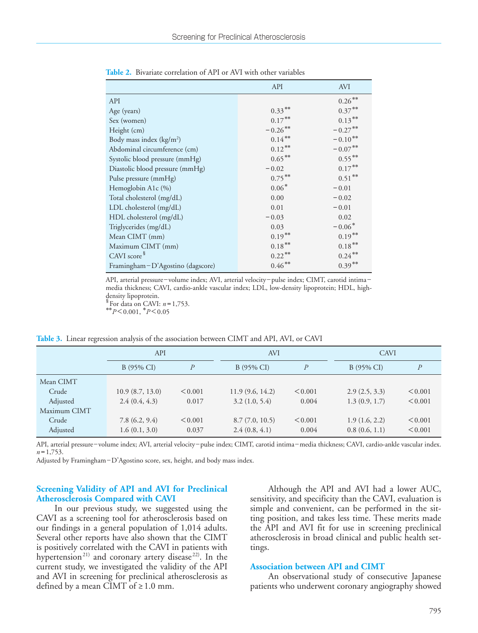|                                    | API        | <b>AVI</b> |
|------------------------------------|------------|------------|
| API                                |            | $0.26**$   |
| Age (years)                        | $0.33***$  | $0.37***$  |
| Sex (women)                        | $0.17***$  | $0.13***$  |
| Height (cm)                        | $-0.26$ ** | $-0.27***$ |
| Body mass index $(kg/m2)$          | $0.14***$  | $-0.10**$  |
| Abdominal circumference (cm)       | $0.12***$  | $-0.07***$ |
| Systolic blood pressure (mmHg)     | $0.65***$  | $0.55***$  |
| Diastolic blood pressure (mmHg)    | $-0.02$    | $0.17***$  |
| Pulse pressure (mmHg)              | $0.75***$  | $0.51***$  |
| Hemoglobin A1c (%)                 | $0.06*$    | $-0.01$    |
| Total cholesterol (mg/dL)          | 0.00       | $-0.02$    |
| LDL cholesterol (mg/dL)            | 0.01       | $-0.01$    |
| HDL cholesterol (mg/dL)            | $-0.03$    | 0.02       |
| Triglycerides (mg/dL)              | 0.03       | $-0.06*$   |
| Mean CIMT (mm)                     | $0.19***$  | $0.19***$  |
| Maximum CIMT (mm)                  | $0.18***$  | $0.18***$  |
| CAVI score <sup>§</sup>            | $0.22***$  | $0.24***$  |
| Framingham – D'Agostino (dagscore) | $0.46***$  | $0.39***$  |

**Table 2.** Bivariate correlation of API or AVI with other variables

API, arterial pressure–volume index; AVI, arterial velocity–pulse index; CIMT, carotid intima– media thickness; CAVI, cardio-ankle vascular index; LDL, low-density lipoprotein; HDL, highdensity lipoprotein.<br>  ${}^8$  For data on CAVI:  $n = 1,753$ .

 $*$ <sup>\*</sup> $P$ <0.001,  $*$ *P*<0.05

**Table 3.** Linear regression analysis of the association between CIMT and API, AVI, or CAVI

|              | API             |               | <b>AVI</b>      |         | <b>CAVI</b>   |                  |
|--------------|-----------------|---------------|-----------------|---------|---------------|------------------|
|              | B (95% CI)      | $\mathcal{P}$ | B (95% CI)      | P       | B (95% CI)    | $\boldsymbol{P}$ |
| Mean CIMT    |                 |               |                 |         |               |                  |
| Crude        | 10.9(8.7, 13.0) | < 0.001       | 11.9(9.6, 14.2) | < 0.001 | 2.9(2.5, 3.3) | < 0.001          |
| Adjusted     | 2.4(0.4, 4.3)   | 0.017         | 3.2(1.0, 5.4)   | 0.004   | 1.3(0.9, 1.7) | < 0.001          |
| Maximum CIMT |                 |               |                 |         |               |                  |
| Crude        | 7.8(6.2, 9.4)   | < 0.001       | 8.7(7.0, 10.5)  | < 0.001 | 1.9(1.6, 2.2) | < 0.001          |
| Adjusted     | 1.6(0.1, 3.0)   | 0.037         | 2.4(0.8, 4.1)   | 0.004   | 0.8(0.6, 1.1) | < 0.001          |

API, arterial pressure– volume index; AVI, arterial velocity–pulse index; CIMT, carotid intima–media thickness; CAVI, cardio-ankle vascular index.  $n=1,753$ .

Adjusted by Framingham–D'Agostino score, sex, height, and body mass index.

## **Screening Validity of API and AVI for Preclinical Atherosclerosis Compared with CAVI**

In our previous study, we suggested using the CAVI as a screening tool for atherosclerosis based on our findings in a general population of 1,014 adults. Several other reports have also shown that the CIMT is positively correlated with the CAVI in patients with hypertension<sup>21)</sup> and coronary artery disease<sup>22)</sup>. In the current study, we investigated the validity of the API and AVI in screening for preclinical atherosclerosis as defined by a mean CIMT of  $\geq 1.0$  mm.

Although the API and AVI had a lower AUC, sensitivity, and specificity than the CAVI, evaluation is simple and convenient, can be performed in the sitting position, and takes less time. These merits made the API and AVI fit for use in screening preclinical atherosclerosis in broad clinical and public health settings.

#### **Association between API and CIMT**

An observational study of consecutive Japanese patients who underwent coronary angiography showed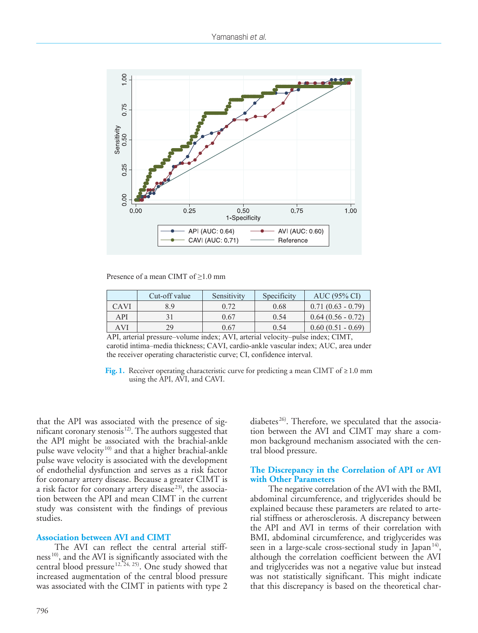

Presence of a mean CIMT of  $\geq 1.0$  mm

|             | Cut-off value | Sensitivity | Specificity | AUC (95% CI)        |
|-------------|---------------|-------------|-------------|---------------------|
| <b>CAVI</b> | 8.9           | 0.72        | 0.68        | $0.71(0.63 - 0.79)$ |
| API         |               | 0.67        | 0.54        | $0.64(0.56 - 0.72)$ |
| AVI         | 29            | 0.67        | 0.54        | $0.60(0.51 - 0.69)$ |

API, arterial pressure–volume index; AVI, arterial velocity–pulse index; CIMT, carotid intima–media thickness; CAVI, cardio-ankle vascular index; AUC, area under the receiver operating characteristic curve; CI, confidence interval.

**Fig. 1.** Receiver operating characteristic curve for predicting a mean CIMT of  $\geq 1.0$  mm using the API, AVI, and CAVI.

that the API was associated with the presence of significant coronary stenosis $12$ . The authors suggested that the API might be associated with the brachial-ankle pulse wave velocity<sup>10)</sup> and that a higher brachial-ankle pulse wave velocity is associated with the development of endothelial dysfunction and serves as a risk factor for coronary artery disease. Because a greater CIMT is a risk factor for coronary artery disease<sup>23)</sup>, the association between the API and mean CIMT in the current study was consistent with the findings of previous studies.

#### **Association between AVI and CIMT**

The AVI can reflect the central arterial stiffness<sup>10</sup>, and the AVI is significantly associated with the central blood pressure  $12, 24, 25$ ). One study showed that increased augmentation of the central blood pressure was associated with the CIMT in patients with type 2

diabetes<sup>26)</sup>. Therefore, we speculated that the association between the AVI and CIMT may share a common background mechanism associated with the central blood pressure.

#### **The Discrepancy in the Correlation of API or AVI with Other Parameters**

The negative correlation of the AVI with the BMI, abdominal circumference, and triglycerides should be explained because these parameters are related to arterial stiffness or atherosclerosis. A discrepancy between the API and AVI in terms of their correlation with BMI, abdominal circumference, and triglycerides was seen in a large-scale cross-sectional study in Japan<sup>14)</sup>, although the correlation coefficient between the AVI and triglycerides was not a negative value but instead was not statistically significant. This might indicate that this discrepancy is based on the theoretical char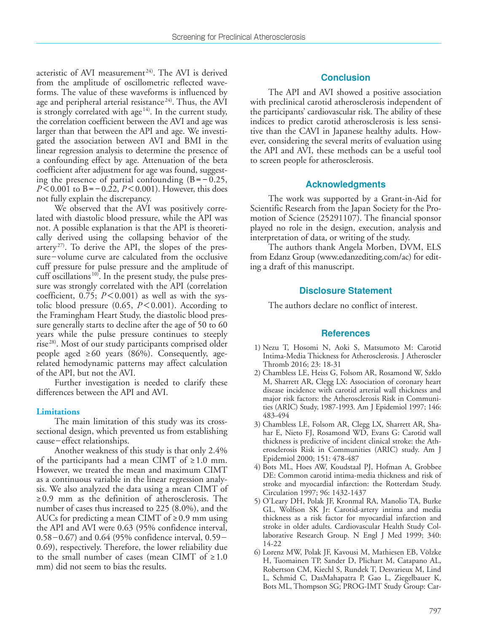acteristic of AVI measurement<sup>24)</sup>. The AVI is derived from the amplitude of oscillometric reflected waveforms. The value of these waveforms is influenced by age and peripheral arterial resistance<sup>24)</sup>. Thus, the AVI is strongly correlated with age $14$ . In the current study, the correlation coefficient between the AVI and age was larger than that between the API and age. We investigated the association between AVI and BMI in the linear regression analysis to determine the presence of a confounding effect by age. Attenuation of the beta coefficient after adjustment for age was found, suggesting the presence of partial confounding  $(B=-0.25,$ *P*<0.001 to B=-0.22, *P*<0.001). However, this does not fully explain the discrepancy.

We observed that the AVI was positively correlated with diastolic blood pressure, while the API was not. A possible explanation is that the API is theoretically derived using the collapsing behavior of the artery<sup>27)</sup>. To derive the API, the slopes of the pressure–volume curve are calculated from the occlusive cuff pressure for pulse pressure and the amplitude of cuff oscillations<sup>10)</sup>. In the present study, the pulse pressure was strongly correlated with the API (correlation coefficient,  $0.75$ ;  $P < 0.001$ ) as well as with the systolic blood pressure (0.65, *P*<0.001). According to the Framingham Heart Study, the diastolic blood pressure generally starts to decline after the age of 50 to 60 years while the pulse pressure continues to steeply rise<sup>28)</sup>. Most of our study participants comprised older people aged  $\geq 60$  years (86%). Consequently, agerelated hemodynamic patterns may affect calculation of the API, but not the AVI.

Further investigation is needed to clarify these differences between the API and AVI.

#### **Limitations**

The main limitation of this study was its crosssectional design, which prevented us from establishing cause– effect relationships.

Another weakness of this study is that only 2.4% of the participants had a mean CIMT of  $\geq 1.0$  mm. However, we treated the mean and maximum CIMT as a continuous variable in the linear regression analysis. We also analyzed the data using a mean CIMT of ≥0.9 mm as the definition of atherosclerosis. The number of cases thus increased to 225 (8.0%), and the AUCs for predicting a mean CIMT of  $\geq 0.9$  mm using the API and AVI were 0.63 (95% confidence interval, 0.58–0.67) and 0.64 (95% confidence interval, 0.59– 0.69), respectively. Therefore, the lower reliability due to the small number of cases (mean CIMT of  $\geq 1.0$ mm) did not seem to bias the results.

## **Conclusion**

The API and AVI showed a positive association with preclinical carotid atherosclerosis independent of the participants' cardiovascular risk. The ability of these indices to predict carotid atherosclerosis is less sensitive than the CAVI in Japanese healthy adults. However, considering the several merits of evaluation using the API and AVI, these methods can be a useful tool to screen people for atherosclerosis.

#### **Acknowledgments**

The work was supported by a Grant-in-Aid for Scientific Research from the Japan Society for the Promotion of Science (25291107). The financial sponsor played no role in the design, execution, analysis and interpretation of data, or writing of the study.

The authors thank Angela Morben, DVM, ELS from Edanz Group (www.edanzediting.com/ac) for editing a draft of this manuscript.

### **Disclosure Statement**

The authors declare no conflict of interest.

#### **References**

- 1) Nezu T, Hosomi N, Aoki S, Matsumoto M: Carotid Intima-Media Thickness for Atherosclerosis. J Atheroscler Thromb 2016; 23: 18-31
- 2) Chambless LE, Heiss G, Folsom AR, Rosamond W, Szklo M, Sharrett AR, Clegg LX: Association of coronary heart disease incidence with carotid arterial wall thickness and major risk factors: the Atherosclerosis Risk in Communities (ARIC) Study, 1987-1993. Am J Epidemiol 1997; 146: 483-494
- 3) Chambless LE, Folsom AR, Clegg LX, Sharrett AR, Shahar E, Nieto FJ, Rosamond WD, Evans G: Carotid wall thickness is predictive of incident clinical stroke: the Atherosclerosis Risk in Communities (ARIC) study. Am J Epidemiol 2000; 151: 478-487
- 4) Bots ML, Hoes AW, Koudstaal PJ, Hofman A, Grobbee DE: Common carotid intima-media thickness and risk of stroke and myocardial infarction: the Rotterdam Study. Circulation 1997; 96: 1432-1437
- 5) O'Leary DH, Polak JF, Kronmal RA, Manolio TA, Burke GL, Wolfson SK Jr: Carotid-artery intima and media thickness as a risk factor for myocardial infarction and stroke in older adults. Cardiovascular Health Study Collaborative Research Group. N Engl J Med 1999; 340: 14-22
- 6) Lorenz MW, Polak JF, Kavousi M, Mathiesen EB, Völzke H, Tuomainen TP, Sander D, Plichart M, Catapano AL, Robertson CM, Kiechl S, Rundek T, Desvarieux M, Lind L, Schmid C, DasMahapatra P, Gao L, Ziegelbauer K, Bots ML, Thompson SG; PROG-IMT Study Group: Car-